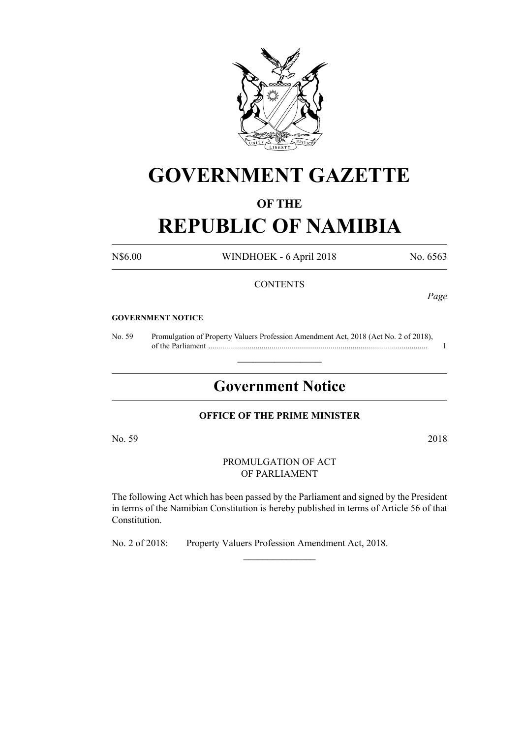

# **GOVERNMENT GAZETTE**

### **OF THE**

## **REPUBLIC OF NAMIBIA**

N\$6.00 WINDHOEK - 6 April 2018 No. 6563

#### **CONTENTS**

*Page*

#### **GOVERNMENT NOTICE**

No. 59 Promulgation of Property Valuers Profession Amendment Act, 2018 (Act No. 2 of 2018), of the Parliament ............................................................................................................... 1

## **Government Notice**

 $\frac{1}{2}$  ,  $\frac{1}{2}$  ,  $\frac{1}{2}$  ,  $\frac{1}{2}$  ,  $\frac{1}{2}$  ,  $\frac{1}{2}$  ,  $\frac{1}{2}$ 

#### **OFFICE OF THE PRIME MINISTER**

No. 59 2018

PROMULGATION OF ACT OF PARLIAMENT

The following Act which has been passed by the Parliament and signed by the President in terms of the Namibian Constitution is hereby published in terms of Article 56 of that Constitution.

 $\frac{1}{2}$ 

No. 2 of 2018: Property Valuers Profession Amendment Act, 2018.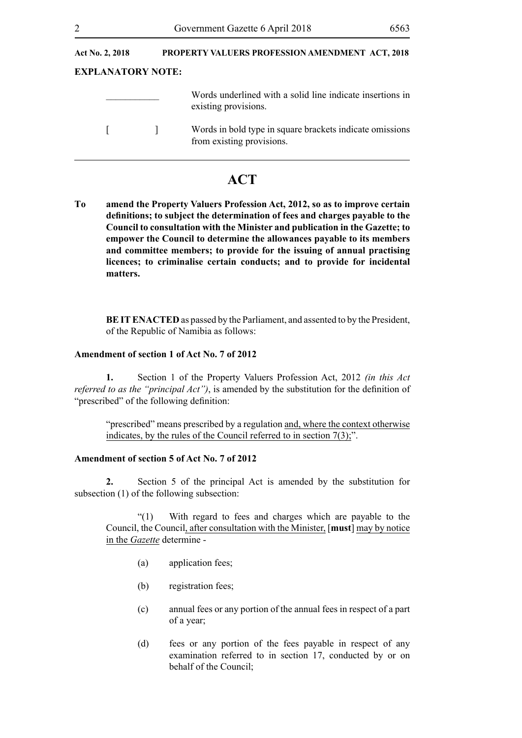| Act No. 2, 2018          |  | <b>PROPERTY VALUERS PROFESSION AMENDMENT ACT, 2018</b>                                |  |
|--------------------------|--|---------------------------------------------------------------------------------------|--|
| <b>EXPLANATORY NOTE:</b> |  |                                                                                       |  |
|                          |  | Words underlined with a solid line indicate insertions in<br>existing provisions.     |  |
|                          |  | Words in bold type in square brackets indicate omissions<br>from existing provisions. |  |

### **ACT**

**To amend the Property Valuers Profession Act, 2012, so as to improve certain definitions; to subject the determination of fees and charges payable to the Council to consultation with the Minister and publication in the Gazette; to empower the Council to determine the allowances payable to its members and committee members; to provide for the issuing of annual practising licences; to criminalise certain conducts; and to provide for incidental matters.**

**BE IT ENACTED** as passed by the Parliament, and assented to by the President, of the Republic of Namibia as follows:

#### **Amendment of section 1 of Act No. 7 of 2012**

**1.** Section 1 of the Property Valuers Profession Act, 2012 *(in this Act referred to as the "principal Act")*, is amended by the substitution for the definition of "prescribed" of the following definition:

"prescribed" means prescribed by a regulation and, where the context otherwise indicates, by the rules of the Council referred to in section  $7(3)$ ;".

#### **Amendment of section 5 of Act No. 7 of 2012**

**2.** Section 5 of the principal Act is amended by the substitution for subsection (1) of the following subsection:

"(1) With regard to fees and charges which are payable to the Council, the Council, after consultation with the Minister, [**must**] may by notice in the *Gazette* determine -

- (a) application fees;
- (b) registration fees;
- (c) annual fees or any portion of the annual fees in respect of a part of a year;
- (d) fees or any portion of the fees payable in respect of any examination referred to in section 17, conducted by or on behalf of the Council;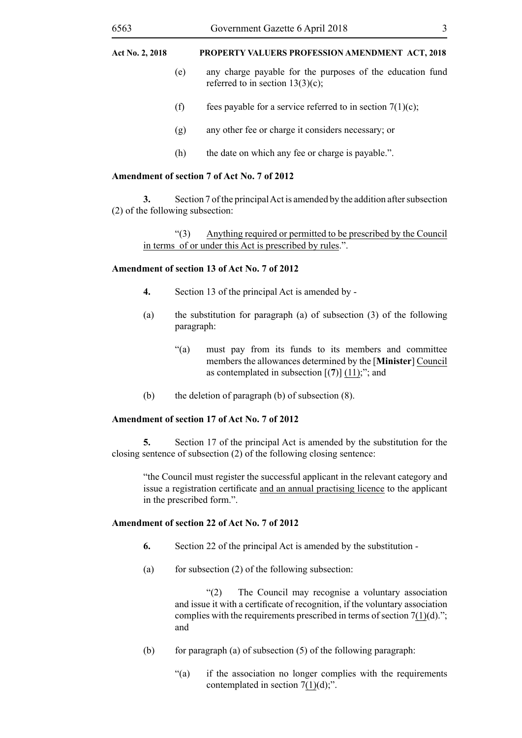- (e) any charge payable for the purposes of the education fund referred to in section  $13(3)(c)$ ;
- (f) fees payable for a service referred to in section  $7(1)(c)$ ;
- (g) any other fee or charge it considers necessary; or
- (h) the date on which any fee or charge is payable.".

#### **Amendment of section 7 of Act No. 7 of 2012**

**3.** Section 7 of the principal Act is amended by the addition after subsection (2) of the following subsection:

"(3) Anything required or permitted to be prescribed by the Council in terms of or under this Act is prescribed by rules.".

#### **Amendment of section 13 of Act No. 7 of 2012**

- **4.** Section 13 of the principal Act is amended by -
- (a) the substitution for paragraph (a) of subsection (3) of the following paragraph:
	- "(a) must pay from its funds to its members and committee members the allowances determined by the [**Minister**] Council as contemplated in subsection [(**7**)] (11);"; and
- (b) the deletion of paragraph (b) of subsection (8).

#### **Amendment of section 17 of Act No. 7 of 2012**

**5.** Section 17 of the principal Act is amended by the substitution for the closing sentence of subsection (2) of the following closing sentence:

"the Council must register the successful applicant in the relevant category and issue a registration certificate and an annual practising licence to the applicant in the prescribed form.".

#### **Amendment of section 22 of Act No. 7 of 2012**

- **6.** Section 22 of the principal Act is amended by the substitution -
- (a) for subsection  $(2)$  of the following subsection:

"(2) The Council may recognise a voluntary association and issue it with a certificate of recognition, if the voluntary association complies with the requirements prescribed in terms of section  $7(1)(d)$ ."; and

- (b) for paragraph (a) of subsection  $(5)$  of the following paragraph:
	- "(a) if the association no longer complies with the requirements contemplated in section  $7(1)(d)$ ;".